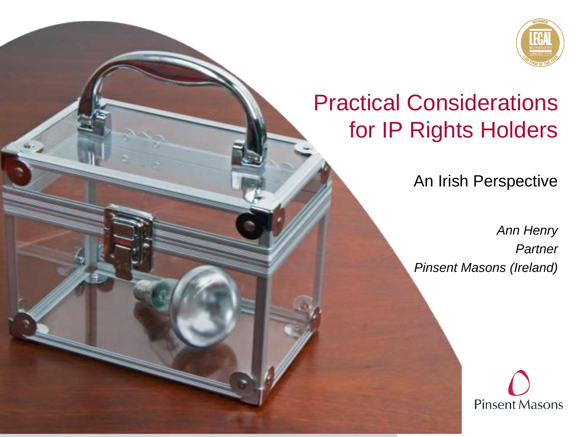

#### Practical Considerations for IP Rights Holders

An Irish Perspective

*Ann Henry Partner Pinsent Masons (Ireland)*

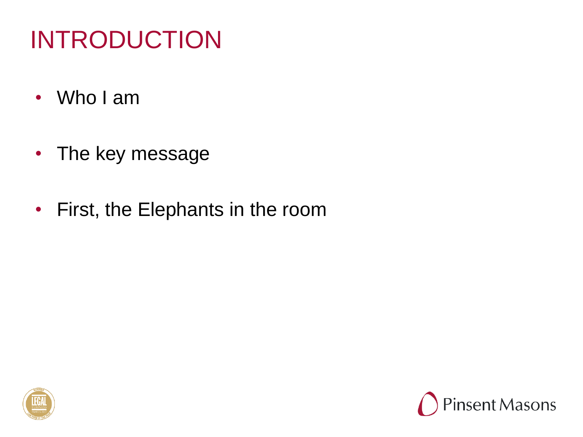#### INTRODUCTION

- Who I am
- The key message
- First, the Elephants in the room



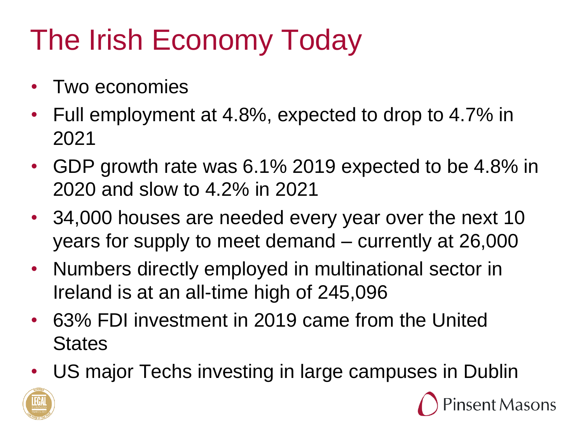# The Irish Economy Today

- Two economies
- Full employment at 4.8%, expected to drop to 4.7% in 2021
- GDP growth rate was 6.1% 2019 expected to be 4.8% in 2020 and slow to 4.2% in 2021
- 34,000 houses are needed every year over the next 10 years for supply to meet demand – currently at 26,000
- Numbers directly employed in multinational sector in Ireland is at an all-time high of 245,096
- 63% FDI investment in 2019 came from the United **States**
- US major Techs investing in large campuses in Dublin



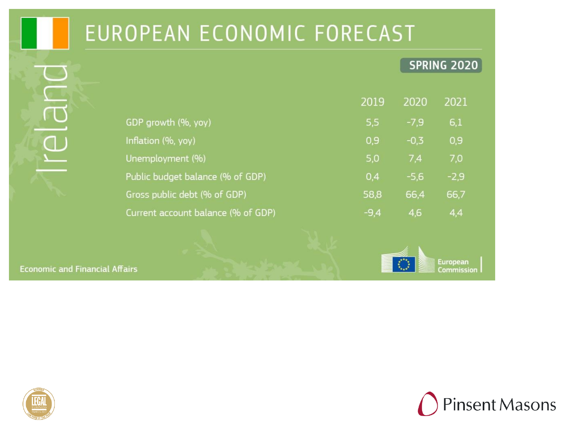#### EUROPEAN ECONOMIC FORECAST

#### **SPRING 2020**

|                                    | 2019   | 2020   | 2021   |  |
|------------------------------------|--------|--------|--------|--|
| GDP growth (%, yoy)                | 5,5    | $-7,9$ | 6,1    |  |
| Inflation (%, yoy)                 | 0,9    | $-0.3$ | 0,9    |  |
| Unemployment (%)                   | 5,0    | 7.4    | 7,0    |  |
| Public budget balance (% of GDP)   | 0,4    | $-5.6$ | $-2,9$ |  |
| Gross public debt (% of GDP)       | 58,8   | 66,4   | 66,7   |  |
| Current account balance (% of GDP) | $-9.4$ | 4,6    | 4,4    |  |

**Economic and Financial Affairs** 





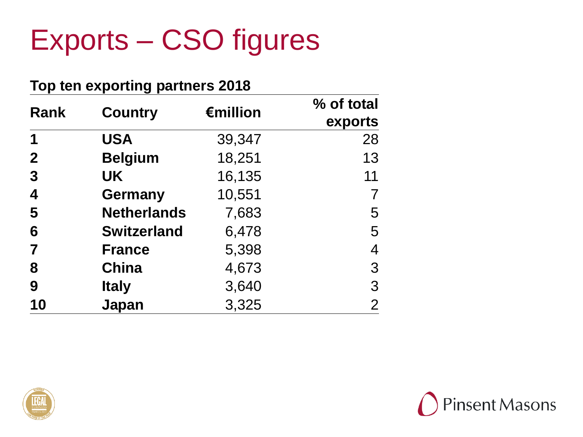#### Exports – CSO figures

| Top ten exporting partners 2018 |                    |          |                       |  |
|---------------------------------|--------------------|----------|-----------------------|--|
| <b>Rank</b>                     | <b>Country</b>     | €million | % of total<br>exports |  |
| 1                               | <b>USA</b>         | 39,347   | 28                    |  |
| $\mathbf{2}$                    | <b>Belgium</b>     | 18,251   | 13                    |  |
| 3                               | <b>UK</b>          | 16,135   | 11                    |  |
| 4                               | <b>Germany</b>     | 10,551   |                       |  |
| 5                               | <b>Netherlands</b> | 7,683    | 5                     |  |
| 6                               | <b>Switzerland</b> | 6,478    | 5                     |  |
| 7                               | <b>France</b>      | 5,398    | 4                     |  |
| 8                               | <b>China</b>       | 4,673    | 3                     |  |
| 9                               | <b>Italy</b>       | 3,640    | 3                     |  |
| 10                              | Japan              | 3,325    | $\overline{2}$        |  |



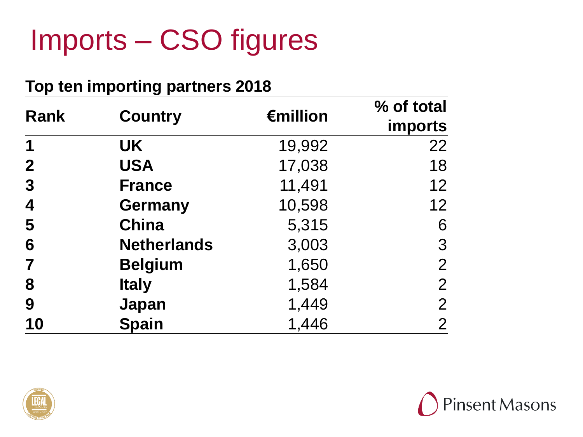## Imports – CSO figures

#### **Top ten importing partners 2018**

| Rank                    | <b>Country</b>     | €million | % of total<br>imports |
|-------------------------|--------------------|----------|-----------------------|
| 1                       | <b>UK</b>          | 19,992   | 22                    |
| $\mathbf{2}$            | <b>USA</b>         | 17,038   | 18                    |
| $\boldsymbol{3}$        | <b>France</b>      | 11,491   | 12                    |
| $\overline{\mathbf{4}}$ | <b>Germany</b>     | 10,598   | 12                    |
| 5                       | <b>China</b>       | 5,315    | 6                     |
| 6                       | <b>Netherlands</b> | 3,003    | 3                     |
| $\overline{\mathbf{7}}$ | <b>Belgium</b>     | 1,650    | $\overline{2}$        |
| 8                       | <b>Italy</b>       | 1,584    | $\mathbf{2}$          |
| 9                       | Japan              | 1,449    | $\overline{2}$        |
| 10                      | <b>Spain</b>       | 1,446    | $\overline{2}$        |



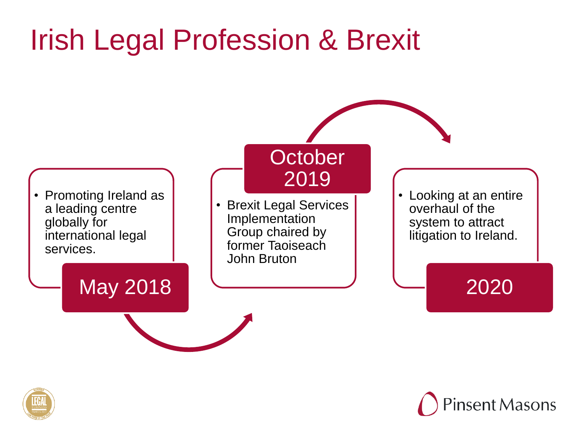## Irish Legal Profession & Brexit



**Pinsent Masons** 

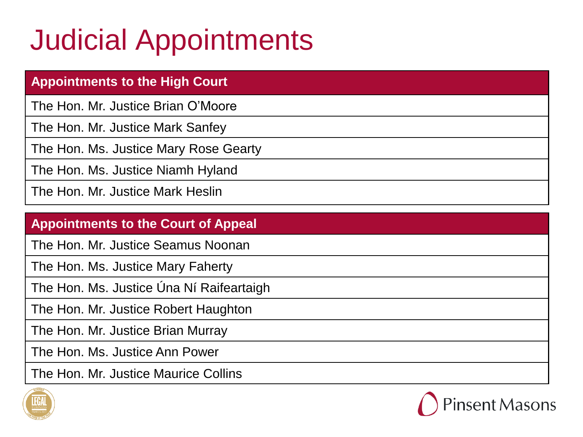## Judicial Appointments

| <b>Appointments to the High Court</b> |
|---------------------------------------|
| The Hon. Mr. Justice Brian O'Moore    |
| The Hon. Mr. Justice Mark Sanfey      |
| The Hon. Ms. Justice Mary Rose Gearty |
| The Hon. Ms. Justice Niamh Hyland     |
| The Hon. Mr. Justice Mark Heslin      |

#### **Appointments to the Court of Appeal**

The Hon. Mr. Justice Seamus Noonan

The Hon. Ms. Justice Mary Faherty

The Hon. Ms. Justice Úna Ní Raifeartaigh

The Hon. Mr. Justice Robert Haughton

The Hon. Mr. Justice Brian Murray

The Hon. Ms. Justice Ann Power

The Hon. Mr. Justice Maurice Collins



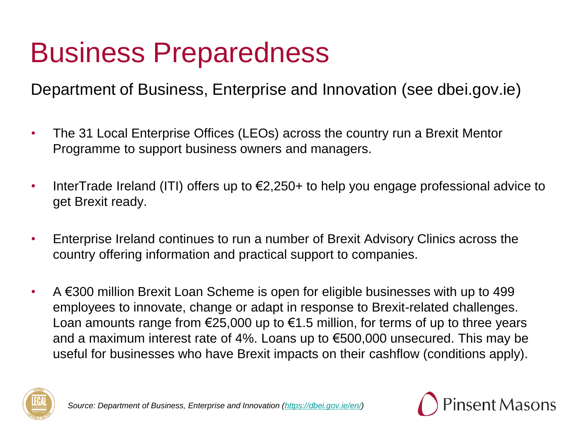#### Business Preparedness

Department of Business, Enterprise and Innovation (see dbei.gov.ie)

- The 31 Local Enterprise Offices (LEOs) across the country run a Brexit Mentor Programme to support business owners and managers.
- InterTrade Ireland (ITI) offers up to  $\epsilon$ 2,250+ to help you engage professional advice to get Brexit ready.
- Enterprise Ireland continues to run a number of Brexit Advisory Clinics across the country offering information and practical support to companies.
- A  $€300$  million Brexit Loan Scheme is open for eligible businesses with up to 499 employees to innovate, change or adapt in response to Brexit-related challenges. Loan amounts range from  $\epsilon$ 25,000 up to  $\epsilon$ 1.5 million, for terms of up to three years and a maximum interest rate of 4%. Loans up to €500,000 unsecured. This may be useful for businesses who have Brexit impacts on their cashflow (conditions apply).



*Source: Department of Business, Enterprise and Innovation (<https://dbei.gov.ie/en/>)*

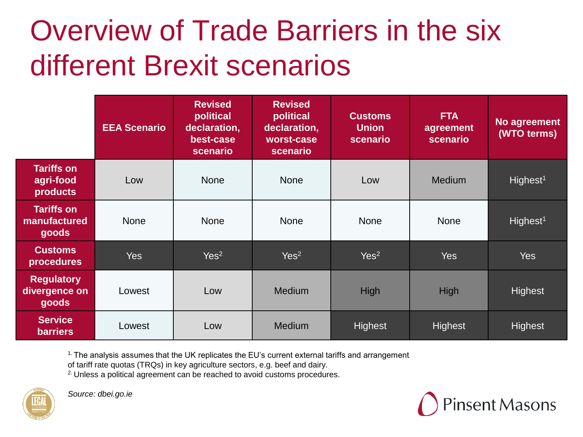## Overview of Trade Barriers in the six different Brexit scenarios

|                                             | <b>EEA Scenario</b> | <b>Revised</b><br>political<br>declaration,<br>best-case<br>scenario | <b>Revised</b><br>political<br>declaration,<br>worst-case<br>scenario | <b>Customs</b><br><b>Union</b><br>scenario | <b>FTA</b><br>agreement<br>scenario | No agreement<br>(WTO terms) |
|---------------------------------------------|---------------------|----------------------------------------------------------------------|-----------------------------------------------------------------------|--------------------------------------------|-------------------------------------|-----------------------------|
| <b>Tariffs on</b><br>agri-food<br>products  | Low                 | <b>None</b>                                                          | <b>None</b>                                                           | Low                                        | <b>Medium</b>                       | Highest <sup>1</sup>        |
| <b>Tariffs on</b><br>manufactured<br>goods  | <b>None</b>         | <b>None</b>                                                          | <b>None</b>                                                           | <b>None</b>                                | <b>None</b>                         | Highest <sup>1</sup>        |
| <b>Customs</b><br>procedures                | Yes                 | Yes <sup>2</sup>                                                     | Yes <sup>2</sup>                                                      | Yes <sup>2</sup>                           | Yes                                 | <b>Yes</b>                  |
| <b>Regulatory</b><br>divergence on<br>goods | Lowest              | Low                                                                  | Medium                                                                | High                                       | High                                | Highest                     |
| <b>Service</b><br><b>barriers</b>           | Lowest              | Low                                                                  | <b>Medium</b>                                                         | Highest                                    | Highest                             | Highest                     |

<sup>1.</sup> The analysis assumes that the UK replicates the EU's current external tariffs and arrangement

of tariff rate quotas (TRQs) in key agriculture sectors, e.g. beef and dairy.

<sup>2.</sup> Unless a political agreement can be reached to avoid customs procedures.



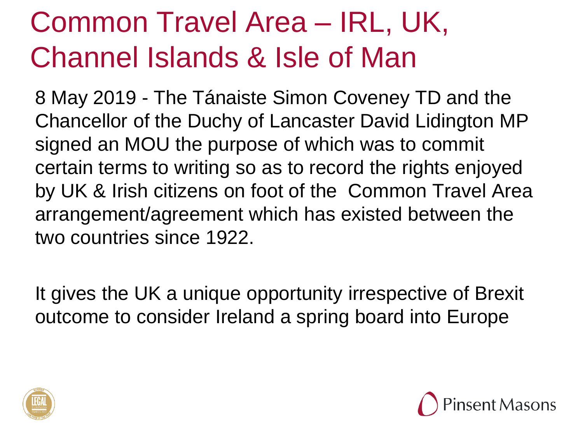## Common Travel Area – IRL, UK, Channel Islands & Isle of Man

8 May 2019 - The Tánaiste Simon Coveney TD and the Chancellor of the Duchy of Lancaster David Lidington MP signed an MOU the purpose of which was to commit certain terms to writing so as to record the rights enjoyed by UK & Irish citizens on foot of the Common Travel Area arrangement/agreement which has existed between the two countries since 1922.

It gives the UK a unique opportunity irrespective of Brexit outcome to consider Ireland a spring board into Europe



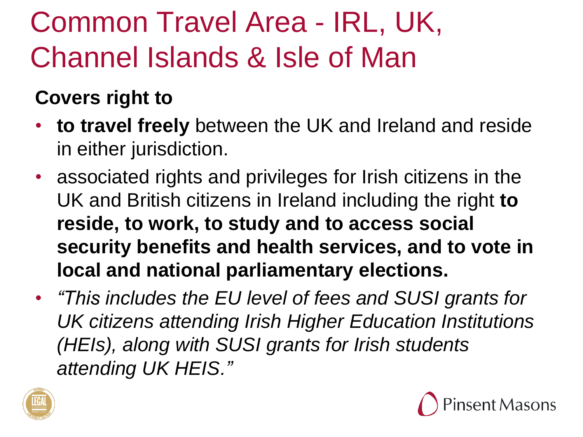# Common Travel Area - IRL, UK, Channel Islands & Isle of Man

#### **Covers right to**

- **to travel freely** between the UK and Ireland and reside in either jurisdiction.
- associated rights and privileges for Irish citizens in the UK and British citizens in Ireland including the right **to reside, to work, to study and to access social security benefits and health services, and to vote in local and national parliamentary elections.**
- *"This includes the EU level of fees and SUSI grants for UK citizens attending Irish Higher Education Institutions (HEIs), along with SUSI grants for Irish students attending UK HEIS."*



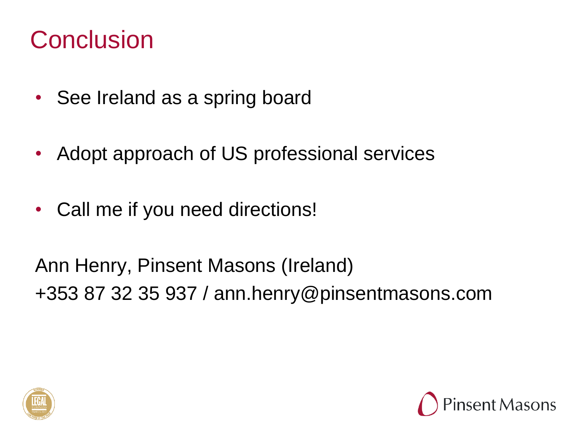#### **Conclusion**

- See Ireland as a spring board
- Adopt approach of US professional services
- Call me if you need directions!

Ann Henry, Pinsent Masons (Ireland) +353 87 32 35 937 / ann.henry@pinsentmasons.com